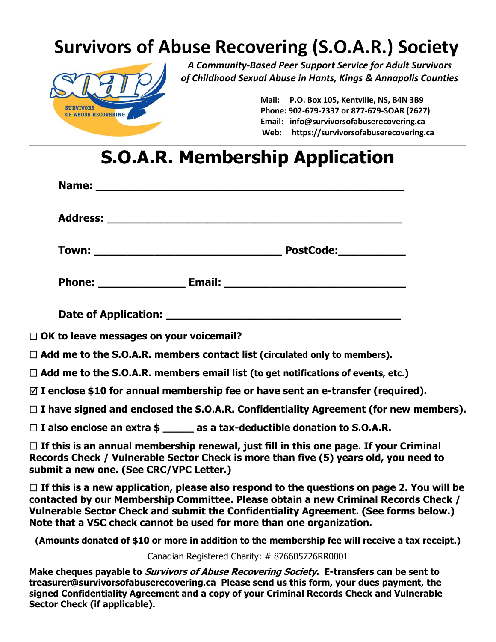## **Survivors of Abuse Recovering (S.O.A.R.) Society**



*A Community-Based Peer Support Service for Adult Survivors of Childhood Sexual Abuse in Hants, Kings & Annapolis Counties*

> **Mail: P.O. Box 105, Kentville, NS, B4N 3B9 Phone: 902-679-7337 or 877-679-SOAR (7627) Email: info@survivorsofabuserecovering.ca Web: https://survivorsofabuserecovering.ca**

#### **S.O.A.R. Membership Application**

| $\Box$ Add me to the S.O.A.R. members email list (to get notifications of events, etc.)                                                                                                                                                                                         |
|---------------------------------------------------------------------------------------------------------------------------------------------------------------------------------------------------------------------------------------------------------------------------------|
| $\boxtimes$ I enclose \$10 for annual membership fee or have sent an e-transfer (required).                                                                                                                                                                                     |
| $\Box$ I have signed and enclosed the S.O.A.R. Confidentiality Agreement (for new members).                                                                                                                                                                                     |
|                                                                                                                                                                                                                                                                                 |
| $\Box$ If this is an annual membership renewal, just fill in this one page. If your Criminal<br>Records Check / Vulnerable Sector Check is more than five (5) years old, you need to                                                                                            |
| $\Box$ If this is a new application, please also respond to the questions on page 2. You will be<br>contacted by our Membership Committee. Please obtain a new Criminal Records Check /<br>Vulnerable Sector Check and submit the Confidentiality Agreement. (See forms below.) |
| (Amounts donated of \$10 or more in addition to the membership fee will receive a tax receipt.)                                                                                                                                                                                 |
|                                                                                                                                                                                                                                                                                 |

Canadian Registered Charity: # 876605726RR0001

**Make cheques payable to Survivors of Abuse Recovering Society. E-transfers can be sent to treasurer@survivorsofabuserecovering.ca Please send us this form, your dues payment, the signed Confidentiality Agreement and a copy of your Criminal Records Check and Vulnerable Sector Check (if applicable).**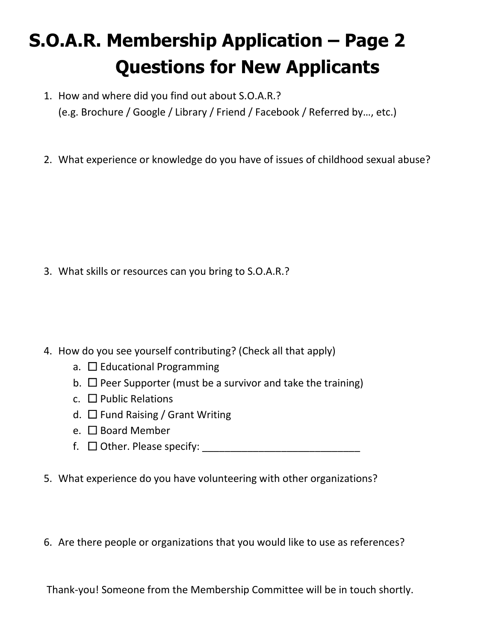# **S.O.A.R. Membership Application – Page 2 Questions for New Applicants**

- 1. How and where did you find out about S.O.A.R.? (e.g. Brochure / Google / Library / Friend / Facebook / Referred by…, etc.)
- 2. What experience or knowledge do you have of issues of childhood sexual abuse?

3. What skills or resources can you bring to S.O.A.R.?

- 4. How do you see yourself contributing? (Check all that apply)
	- a.  $\Box$  Educational Programming
	- b.  $\Box$  Peer Supporter (must be a survivor and take the training)
	- c.  $\Box$  Public Relations
	- d.  $\Box$  Fund Raising / Grant Writing
	- e.  $\square$  Board Member
	- f.  $\Box$  Other. Please specify:
- 5. What experience do you have volunteering with other organizations?
- 6. Are there people or organizations that you would like to use as references?

Thank-you! Someone from the Membership Committee will be in touch shortly.